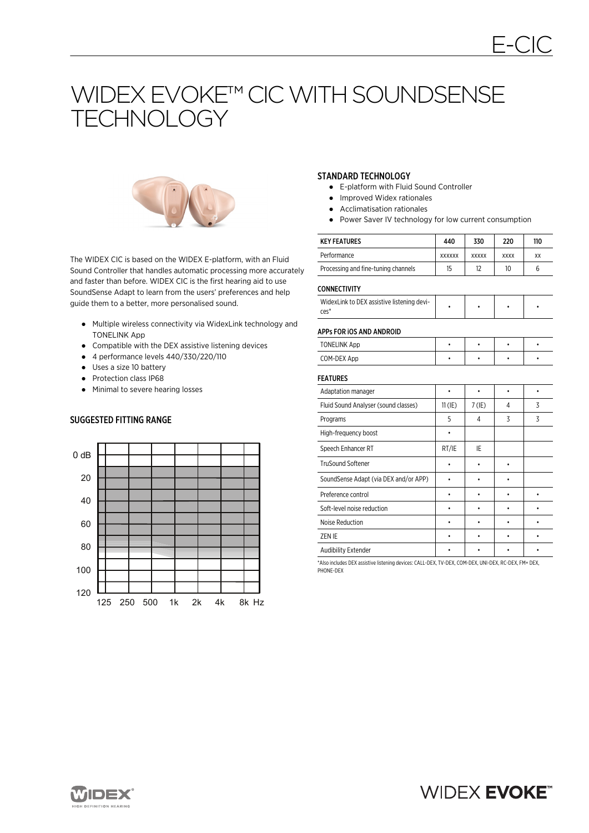# WIDEX EVOKE™ CIC WITH SOUNDSENSE TECHNOLOGY



The WIDEX CIC is based on the WIDEX E-platform, with an Fluid Sound Controller that handles automatic processing more accurately and faster than before. WIDEX CIC is the first hearing aid to use SoundSense Adapt to learn from the users' preferences and help guide them to a better, more personalised sound.

- Multiple wireless connectivity via WidexLink technology and TONELINK App
- Compatible with the DEX assistive listening devices
- 4 performance levels 440/330/220/110
- Uses a size 10 battery
- Protection class IP68
- Minimal to severe hearing losses

# SUGGESTED FITTING RANGE



#### STANDARD TECHNOLOGY

- E-platform with Fluid Sound Controller
- Improved Widex rationales
- Acclimatisation rationales
- Power Saver IV technology for low current consumption

| <b>KEY FEATURES</b>                 | 440           | 330          | 220         | 110 |
|-------------------------------------|---------------|--------------|-------------|-----|
| Performance                         | <b>XXXXXX</b> | <b>XXXXX</b> | <b>XXXX</b> | XX  |
| Processing and fine-tuning channels | 15            | 12           | 10          |     |

#### **CONNECTIVITY**

| WidexLink to DEX assistive listening devi-<br>ces' |  |  |  |  |
|----------------------------------------------------|--|--|--|--|
|----------------------------------------------------|--|--|--|--|

#### APPs FOR iOS AND ANDROID

| <b>TONELINK App</b> |  |  |
|---------------------|--|--|
| COM-DEX App         |  |  |

# FEATURES

| Adaptation manager                    |           |          |   |   |
|---------------------------------------|-----------|----------|---|---|
| Fluid Sound Analyser (sound classes)  | $11$ (IE) | $7$ (IE) | 4 | 3 |
| Programs                              | 5         | 4        | 3 | 3 |
| High-frequency boost                  |           |          |   |   |
| Speech Enhancer RT                    | RT/IE     | IE       |   |   |
| <b>TruSound Softener</b>              |           |          |   |   |
| SoundSense Adapt (via DEX and/or APP) |           |          |   |   |
| Preference control                    |           |          |   |   |
| Soft-level noise reduction            |           |          |   |   |
| Noise Reduction                       |           |          |   |   |
| ZEN IE                                |           |          |   |   |
| Audibility Extender                   |           |          |   |   |

\*Also includes DEX assistive listening devices: CALL-DEX, TV-DEX, COM-DEX, UNI-DEX, RC-DEX, FM+ DEX, PHONE-DEX